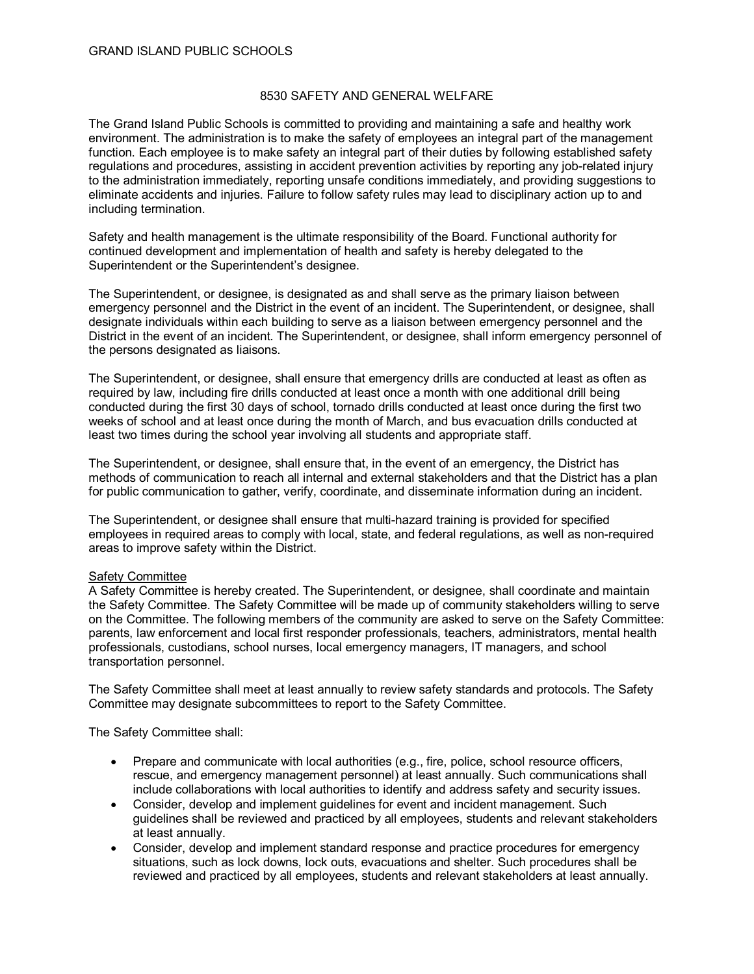# 8530 SAFETY AND GENERAL WELFARE

The Grand Island Public Schools is committed to providing and maintaining a safe and healthy work environment. The administration is to make the safety of employees an integral part of the management function. Each employee is to make safety an integral part of their duties by following established safety regulations and procedures, assisting in accident prevention activities by reporting any job-related injury to the administration immediately, reporting unsafe conditions immediately, and providing suggestions to eliminate accidents and injuries. Failure to follow safety rules may lead to disciplinary action up to and including termination.

Safety and health management is the ultimate responsibility of the Board. Functional authority for continued development and implementation of health and safety is hereby delegated to the Superintendent or the Superintendent's designee.

The Superintendent, or designee, is designated as and shall serve as the primary liaison between emergency personnel and the District in the event of an incident. The Superintendent, or designee, shall designate individuals within each building to serve as a liaison between emergency personnel and the District in the event of an incident. The Superintendent, or designee, shall inform emergency personnel of the persons designated as liaisons.

The Superintendent, or designee, shall ensure that emergency drills are conducted at least as often as required by law, including fire drills conducted at least once a month with one additional drill being conducted during the first 30 days of school, tornado drills conducted at least once during the first two weeks of school and at least once during the month of March, and bus evacuation drills conducted at least two times during the school year involving all students and appropriate staff.

The Superintendent, or designee, shall ensure that, in the event of an emergency, the District has methods of communication to reach all internal and external stakeholders and that the District has a plan for public communication to gather, verify, coordinate, and disseminate information during an incident.

The Superintendent, or designee shall ensure that multi-hazard training is provided for specified employees in required areas to comply with local, state, and federal regulations, as well as non-required areas to improve safety within the District.

## Safety Committee

A Safety Committee is hereby created. The Superintendent, or designee, shall coordinate and maintain the Safety Committee. The Safety Committee will be made up of community stakeholders willing to serve on the Committee. The following members of the community are asked to serve on the Safety Committee: parents, law enforcement and local first responder professionals, teachers, administrators, mental health professionals, custodians, school nurses, local emergency managers, IT managers, and school transportation personnel.

The Safety Committee shall meet at least annually to review safety standards and protocols. The Safety Committee may designate subcommittees to report to the Safety Committee.

The Safety Committee shall:

- Prepare and communicate with local authorities (e.g., fire, police, school resource officers, rescue, and emergency management personnel) at least annually. Such communications shall include collaborations with local authorities to identify and address safety and security issues.
- Consider, develop and implement guidelines for event and incident management. Such guidelines shall be reviewed and practiced by all employees, students and relevant stakeholders at least annually.
- Consider, develop and implement standard response and practice procedures for emergency situations, such as lock downs, lock outs, evacuations and shelter. Such procedures shall be reviewed and practiced by all employees, students and relevant stakeholders at least annually.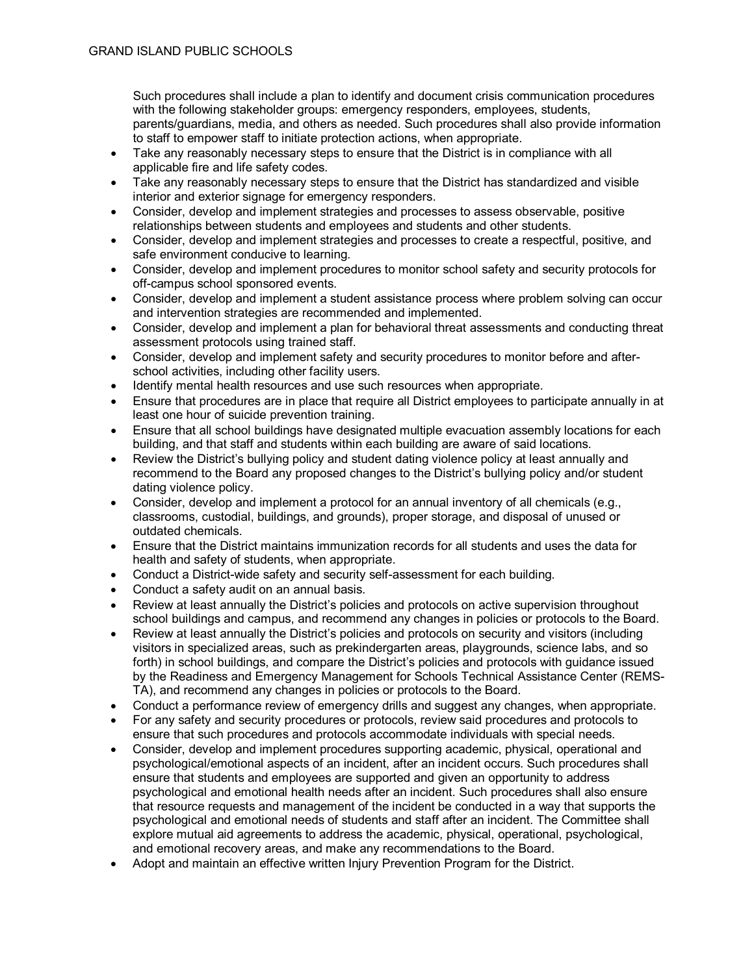Such procedures shall include a plan to identify and document crisis communication procedures with the following stakeholder groups: emergency responders, employees, students, parents/guardians, media, and others as needed. Such procedures shall also provide information to staff to empower staff to initiate protection actions, when appropriate.

- Take any reasonably necessary steps to ensure that the District is in compliance with all applicable fire and life safety codes.
- Take any reasonably necessary steps to ensure that the District has standardized and visible interior and exterior signage for emergency responders.
- Consider, develop and implement strategies and processes to assess observable, positive relationships between students and employees and students and other students.
- Consider, develop and implement strategies and processes to create a respectful, positive, and safe environment conducive to learning.
- Consider, develop and implement procedures to monitor school safety and security protocols for off-campus school sponsored events.
- Consider, develop and implement a student assistance process where problem solving can occur and intervention strategies are recommended and implemented.
- Consider, develop and implement a plan for behavioral threat assessments and conducting threat assessment protocols using trained staff.
- Consider, develop and implement safety and security procedures to monitor before and afterschool activities, including other facility users.
- Identify mental health resources and use such resources when appropriate.
- Ensure that procedures are in place that require all District employees to participate annually in at least one hour of suicide prevention training.
- Ensure that all school buildings have designated multiple evacuation assembly locations for each building, and that staff and students within each building are aware of said locations.
- Review the District's bullying policy and student dating violence policy at least annually and recommend to the Board any proposed changes to the District's bullying policy and/or student dating violence policy.
- Consider, develop and implement a protocol for an annual inventory of all chemicals (e.g., classrooms, custodial, buildings, and grounds), proper storage, and disposal of unused or outdated chemicals.
- Ensure that the District maintains immunization records for all students and uses the data for health and safety of students, when appropriate.
- Conduct a District-wide safety and security self-assessment for each building.
- Conduct a safety audit on an annual basis.
- Review at least annually the District's policies and protocols on active supervision throughout school buildings and campus, and recommend any changes in policies or protocols to the Board.
- Review at least annually the District's policies and protocols on security and visitors (including visitors in specialized areas, such as prekindergarten areas, playgrounds, science labs, and so forth) in school buildings, and compare the District's policies and protocols with guidance issued by the Readiness and Emergency Management for Schools Technical Assistance Center (REMS-TA), and recommend any changes in policies or protocols to the Board.
- Conduct a performance review of emergency drills and suggest any changes, when appropriate.
- For any safety and security procedures or protocols, review said procedures and protocols to ensure that such procedures and protocols accommodate individuals with special needs.
- Consider, develop and implement procedures supporting academic, physical, operational and psychological/emotional aspects of an incident, after an incident occurs. Such procedures shall ensure that students and employees are supported and given an opportunity to address psychological and emotional health needs after an incident. Such procedures shall also ensure that resource requests and management of the incident be conducted in a way that supports the psychological and emotional needs of students and staff after an incident. The Committee shall explore mutual aid agreements to address the academic, physical, operational, psychological, and emotional recovery areas, and make any recommendations to the Board.
- Adopt and maintain an effective written Injury Prevention Program for the District.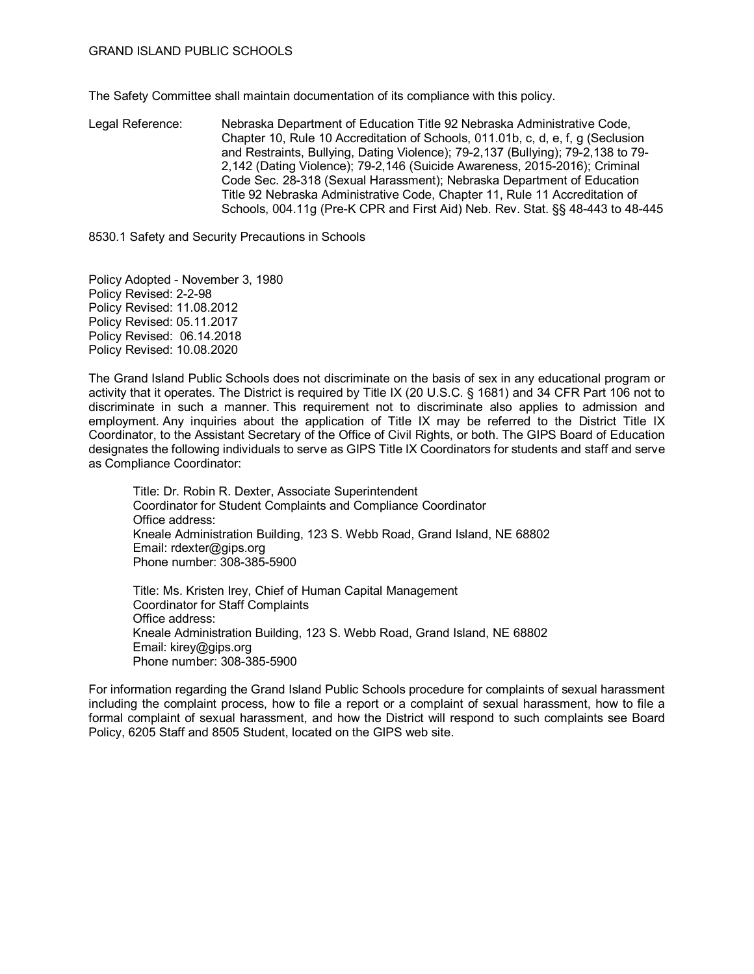The Safety Committee shall maintain documentation of its compliance with this policy.

Legal Reference: Nebraska Department of Education Title 92 Nebraska Administrative Code, Chapter 10, Rule 10 Accreditation of Schools, 011.01b, c, d, e, f, g (Seclusion and Restraints, Bullying, Dating Violence); 79-2,137 (Bullying); 79-2,138 to 79- 2,142 (Dating Violence); 79-2,146 (Suicide Awareness, 2015-2016); Criminal Code Sec. 28-318 (Sexual Harassment); Nebraska Department of Education Title 92 Nebraska Administrative Code, Chapter 11, Rule 11 Accreditation of Schools, 004.11g (Pre-K CPR and First Aid) Neb. Rev. Stat. §§ 48-443 to 48-445

8530.1 Safety and Security Precautions in Schools

Policy Adopted - November 3, 1980 Policy Revised: 2-2-98 Policy Revised: 11.08.2012 Policy Revised: 05.11.2017 Policy Revised: 06.14.2018 Policy Revised: 10.08.2020

The Grand Island Public Schools does not discriminate on the basis of sex in any educational program or activity that it operates. The District is required by Title IX (20 U.S.C. § 1681) and 34 CFR Part 106 not to discriminate in such a manner. This requirement not to discriminate also applies to admission and employment. Any inquiries about the application of Title IX may be referred to the District Title IX Coordinator, to the Assistant Secretary of the Office of Civil Rights, or both. The GIPS Board of Education designates the following individuals to serve as GIPS Title IX Coordinators for students and staff and serve as Compliance Coordinator:

Title: Dr. Robin R. Dexter, Associate Superintendent Coordinator for Student Complaints and Compliance Coordinator Office address: Kneale Administration Building, 123 S. Webb Road, Grand Island, NE 68802 Email: rdexter@gips.org Phone number: 308-385-5900

Title: Ms. Kristen Irey, Chief of Human Capital Management Coordinator for Staff Complaints Office address: Kneale Administration Building, 123 S. Webb Road, Grand Island, NE 68802 Email: kirey@gips.org Phone number: 308-385-5900

For information regarding the Grand Island Public Schools procedure for complaints of sexual harassment including the complaint process, how to file a report or a complaint of sexual harassment, how to file a formal complaint of sexual harassment, and how the District will respond to such complaints see Board Policy, 6205 Staff and 8505 Student, located on the GIPS web site.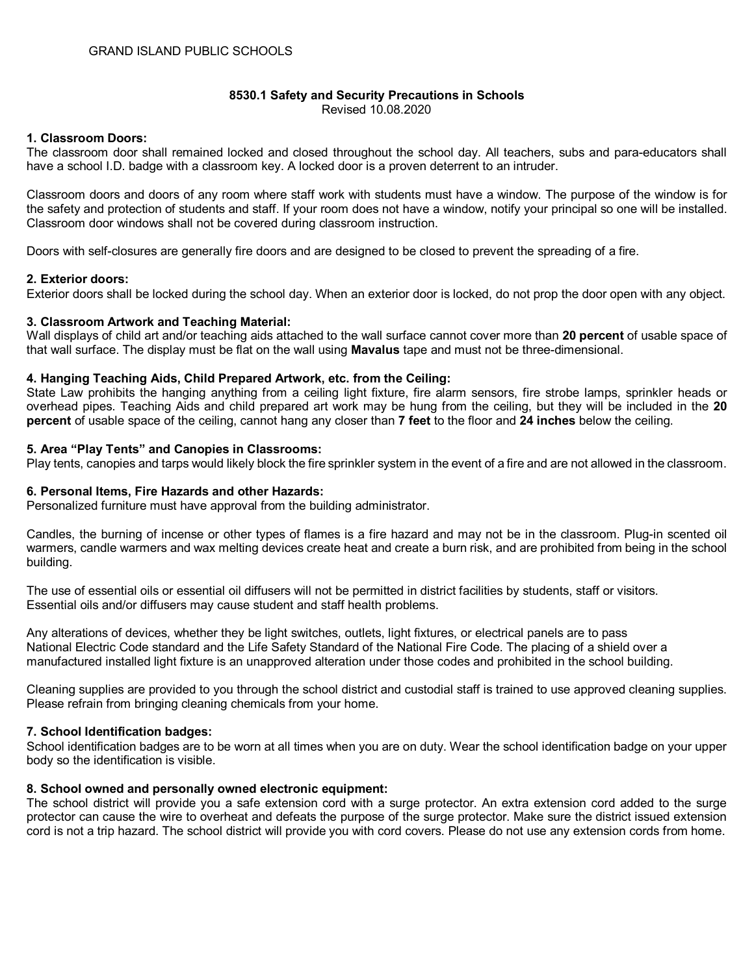#### **8530.1 Safety and Security Precautions in Schools** Revised 10.08.2020

# **1. Classroom Doors:**

The classroom door shall remained locked and closed throughout the school day. All teachers, subs and para-educators shall have a school I.D. badge with a classroom key. A locked door is a proven deterrent to an intruder.

Classroom doors and doors of any room where staff work with students must have a window. The purpose of the window is for the safety and protection of students and staff. If your room does not have a window, notify your principal so one will be installed. Classroom door windows shall not be covered during classroom instruction.

Doors with self-closures are generally fire doors and are designed to be closed to prevent the spreading of a fire.

## **2. Exterior doors:**

Exterior doors shall be locked during the school day. When an exterior door is locked, do not prop the door open with any object.

## **3. Classroom Artwork and Teaching Material:**

Wall displays of child art and/or teaching aids attached to the wall surface cannot cover more than **20 percent** of usable space of that wall surface. The display must be flat on the wall using **Mavalus** tape and must not be three-dimensional.

## **4. Hanging Teaching Aids, Child Prepared Artwork, etc. from the Ceiling:**

State Law prohibits the hanging anything from a ceiling light fixture, fire alarm sensors, fire strobe lamps, sprinkler heads or overhead pipes. Teaching Aids and child prepared art work may be hung from the ceiling, but they will be included in the **20 percent** of usable space of the ceiling, cannot hang any closer than **7 feet** to the floor and **24 inches** below the ceiling.

#### **5. Area "Play Tents" and Canopies in Classrooms:**

Play tents, canopies and tarps would likely block the fire sprinkler system in the event of a fire and are not allowed in the classroom.

#### **6. Personal Items, Fire Hazards and other Hazards:**

Personalized furniture must have approval from the building administrator.

Candles, the burning of incense or other types of flames is a fire hazard and may not be in the classroom. Plug-in scented oil warmers, candle warmers and wax melting devices create heat and create a burn risk, and are prohibited from being in the school building.

The use of essential oils or essential oil diffusers will not be permitted in district facilities by students, staff or visitors. Essential oils and/or diffusers may cause student and staff health problems.

Any alterations of devices, whether they be light switches, outlets, light fixtures, or electrical panels are to pass National Electric Code standard and the Life Safety Standard of the National Fire Code. The placing of a shield over a manufactured installed light fixture is an unapproved alteration under those codes and prohibited in the school building.

Cleaning supplies are provided to you through the school district and custodial staff is trained to use approved cleaning supplies. Please refrain from bringing cleaning chemicals from your home.

## **7. School Identification badges:**

School identification badges are to be worn at all times when you are on duty. Wear the school identification badge on your upper body so the identification is visible.

## **8. School owned and personally owned electronic equipment:**

The school district will provide you a safe extension cord with a surge protector. An extra extension cord added to the surge protector can cause the wire to overheat and defeats the purpose of the surge protector. Make sure the district issued extension cord is not a trip hazard. The school district will provide you with cord covers. Please do not use any extension cords from home.